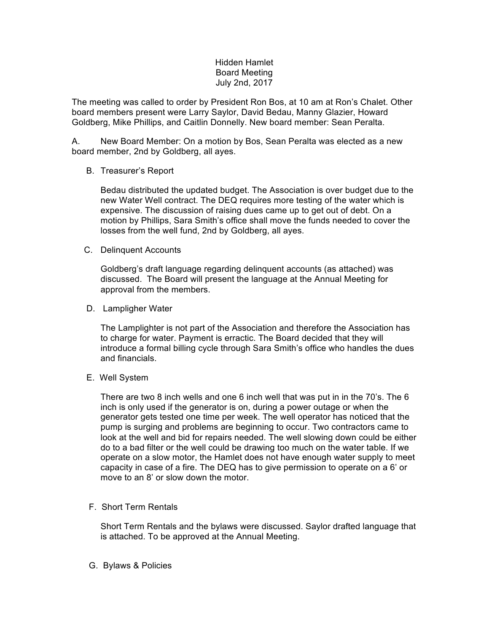## Hidden Hamlet Board Meeting July 2nd, 2017

The meeting was called to order by President Ron Bos, at 10 am at Ron's Chalet. Other board members present were Larry Saylor, David Bedau, Manny Glazier, Howard Goldberg, Mike Phillips, and Caitlin Donnelly. New board member: Sean Peralta.

A. New Board Member: On a motion by Bos, Sean Peralta was elected as a new board member, 2nd by Goldberg, all ayes.

## B. Treasurer's Report

Bedau distributed the updated budget. The Association is over budget due to the new Water Well contract. The DEQ requires more testing of the water which is expensive. The discussion of raising dues came up to get out of debt. On a motion by Phillips, Sara Smith's office shall move the funds needed to cover the losses from the well fund, 2nd by Goldberg, all ayes.

C. Delinquent Accounts

Goldberg's draft language regarding delinquent accounts (as attached) was discussed. The Board will present the language at the Annual Meeting for approval from the members.

D. Lampligher Water

The Lamplighter is not part of the Association and therefore the Association has to charge for water. Payment is erractic. The Board decided that they will introduce a formal billing cycle through Sara Smith's office who handles the dues and financials.

E. Well System

There are two 8 inch wells and one 6 inch well that was put in in the 70's. The 6 inch is only used if the generator is on, during a power outage or when the generator gets tested one time per week. The well operator has noticed that the pump is surging and problems are beginning to occur. Two contractors came to look at the well and bid for repairs needed. The well slowing down could be either do to a bad filter or the well could be drawing too much on the water table. If we operate on a slow motor, the Hamlet does not have enough water supply to meet capacity in case of a fire. The DEQ has to give permission to operate on a 6' or move to an 8' or slow down the motor.

F. Short Term Rentals

Short Term Rentals and the bylaws were discussed. Saylor drafted language that is attached. To be approved at the Annual Meeting.

G. Bylaws & Policies